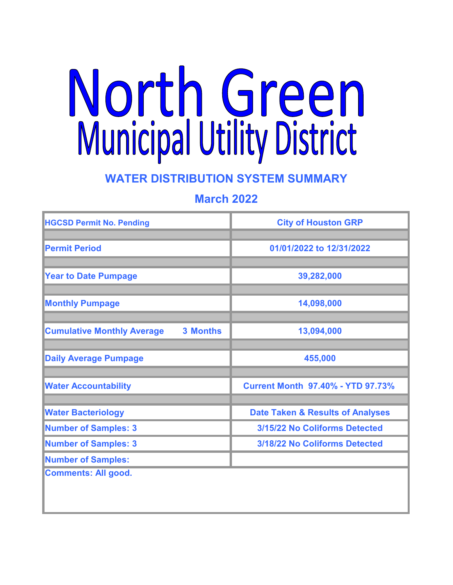# North Green<br>Municipal Utility District

# **WATER DISTRIBUTION SYSTEM SUMMARY**

# **March 2022**

| <b>HGCSD Permit No. Pending</b>                      | <b>City of Houston GRP</b>                  |
|------------------------------------------------------|---------------------------------------------|
| <b>Permit Period</b>                                 | 01/01/2022 to 12/31/2022                    |
| <b>Year to Date Pumpage</b>                          | 39,282,000                                  |
| <b>Monthly Pumpage</b>                               | 14,098,000                                  |
| <b>Cumulative Monthly Average</b><br><b>3 Months</b> | 13,094,000                                  |
| <b>Daily Average Pumpage</b>                         | 455,000                                     |
| <b>Water Accountability</b>                          | <b>Current Month 97.40% - YTD 97.73%</b>    |
| <b>Water Bacteriology</b>                            | <b>Date Taken &amp; Results of Analyses</b> |
| <b>Number of Samples: 3</b>                          | 3/15/22 No Coliforms Detected               |
| <b>Number of Samples: 3</b>                          | 3/18/22 No Coliforms Detected               |
| <b>Number of Samples:</b>                            |                                             |
| <b>Comments: All good.</b>                           |                                             |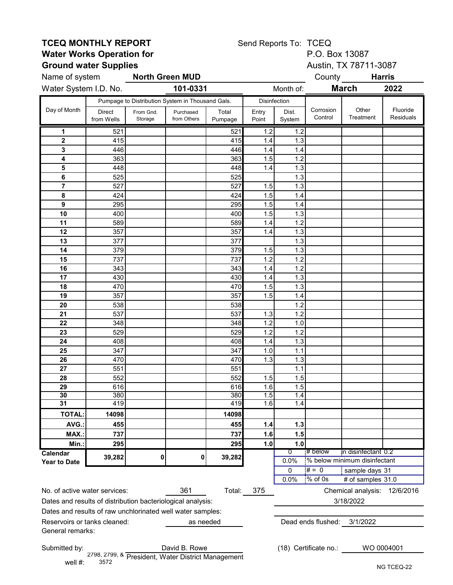## **TCEQ MONTHLY REPORT**<br>
Water Works Operation for<br>
P.O. Box 13087 **Water Works Operation for**<br> **Ground water Supplies**<br>
Ground water Supplies<br> **Ground water Supplies Ground water Supplies**

Send Reports To: TCEQ

|                                                                       | Name of system<br><b>North Green MUD</b> |                      |                                                  |                  |                |                 |                       | County <b>Harris</b>         |                       |  |
|-----------------------------------------------------------------------|------------------------------------------|----------------------|--------------------------------------------------|------------------|----------------|-----------------|-----------------------|------------------------------|-----------------------|--|
| Water System I.D. No.                                                 |                                          |                      | 101-0331<br>Month of:                            |                  |                |                 |                       | <b>March</b><br>2022         |                       |  |
|                                                                       |                                          |                      | Pumpage to Distribution System in Thousand Gals. |                  | Disinfection   |                 |                       |                              |                       |  |
| Day of Month                                                          | <b>Direct</b><br>from Wells              | From Gnd.<br>Storage | Purchased<br>from Others                         | Total<br>Pumpage | Entry<br>Point | Dist.<br>System | Corrosion<br>Control  | Other<br>Treatment           | Fluoride<br>Residuals |  |
| 1                                                                     | 521                                      |                      |                                                  | 521              | 1.2            | 1.2             |                       |                              |                       |  |
| $\overline{\mathbf{2}}$                                               | 415                                      |                      |                                                  | 415              | 1.4            | 1.3             |                       |                              |                       |  |
| 3                                                                     | 446                                      |                      |                                                  | 446              | 1.4            | 1.4             |                       |                              |                       |  |
| 4                                                                     | 363                                      |                      |                                                  | 363              | 1.5            | 1.2             |                       |                              |                       |  |
| 5                                                                     | 448                                      |                      |                                                  | 448              | 1.4            | 1.3             |                       |                              |                       |  |
| 6                                                                     | 525                                      |                      |                                                  | 525              |                | 1.3             |                       |                              |                       |  |
| $\overline{\mathbf{7}}$                                               | 527                                      |                      |                                                  | 527              | 1.5            | 1.3             |                       |                              |                       |  |
| 8                                                                     | 424                                      |                      |                                                  | 424              | 1.5            | 1.4             |                       |                              |                       |  |
| 9                                                                     | 295                                      |                      |                                                  | 295              | 1.5            | 1.4             |                       |                              |                       |  |
| 10                                                                    | 400                                      |                      |                                                  | 400              | 1.5            | 1.3             |                       |                              |                       |  |
| 11                                                                    | 589                                      |                      |                                                  | 589              | 1.4            | 1.2             |                       |                              |                       |  |
| 12                                                                    | 357                                      |                      |                                                  | 357              | 1.4            | 1.3             |                       |                              |                       |  |
| 13                                                                    | 377                                      |                      |                                                  | 377              |                | 1.3             |                       |                              |                       |  |
| 14                                                                    | 379                                      |                      |                                                  | 379              | 1.5            | 1.3             |                       |                              |                       |  |
| 15                                                                    | 737                                      |                      |                                                  | 737              | 1.2            | 1.2             |                       |                              |                       |  |
| 16                                                                    | 343                                      |                      |                                                  | 343              | 1.4            | 1.2             |                       |                              |                       |  |
| 17                                                                    | 430                                      |                      |                                                  | 430              | 1.4            | 1.3             |                       |                              |                       |  |
| 18                                                                    | 470                                      |                      |                                                  | 470              | 1.5            | 1.3             |                       |                              |                       |  |
| 19                                                                    | 357                                      |                      |                                                  | 357              | 1.5            | 1.4             |                       |                              |                       |  |
| 20<br>21                                                              | 538<br>537                               |                      |                                                  | 538<br>537       |                | 1.2<br>1.2      |                       |                              |                       |  |
| 22                                                                    | 348                                      |                      |                                                  | 348              | 1.3<br>1.2     | 1.0             |                       |                              |                       |  |
| 23                                                                    | 529                                      |                      |                                                  | 529              | 1.2            | 1.2             |                       |                              |                       |  |
| 24                                                                    | 408                                      |                      |                                                  | 408              | 1.4            | 1.3             |                       |                              |                       |  |
| 25                                                                    | 347                                      |                      |                                                  | 347              | 1.0            | 1.1             |                       |                              |                       |  |
| 26                                                                    | 470                                      |                      |                                                  | 470              | 1.3            | 1.3             |                       |                              |                       |  |
| 27                                                                    | 551                                      |                      |                                                  | 551              |                | 1.1             |                       |                              |                       |  |
| 28                                                                    | 552                                      |                      |                                                  | 552              | 1.5            | 1.5             |                       |                              |                       |  |
| 29                                                                    | 616                                      |                      |                                                  | 616              | 1.6            | 1.5             |                       |                              |                       |  |
| 30                                                                    | 380                                      |                      |                                                  | 380              | 1.5            | 1.4             |                       |                              |                       |  |
| 31                                                                    | 419                                      |                      |                                                  | 419              | 1.6            | 1.4             |                       |                              |                       |  |
| <b>TOTAL:</b>                                                         | 14098                                    |                      |                                                  | 14098            |                |                 |                       |                              |                       |  |
| AVG.:                                                                 | 455                                      |                      |                                                  | 455              | 1.4            | $1.3$           |                       |                              |                       |  |
| MAX.:                                                                 | 737                                      |                      |                                                  | 737              | 1.6            | 1.5             |                       |                              |                       |  |
| Min.:                                                                 | 295                                      |                      |                                                  | 295              | 1.0            | 1.0             |                       |                              |                       |  |
| Calendar                                                              | 39,282                                   | 0                    | 0                                                | 39,282           |                | 0               | # below               | in disinfectant 0.2          |                       |  |
| <b>Year to Date</b>                                                   |                                          |                      |                                                  |                  |                | 0.0%            |                       | % below minimum disinfectant |                       |  |
|                                                                       |                                          |                      |                                                  |                  |                | 0               | $# = 0$               | sample days 31               |                       |  |
|                                                                       |                                          |                      |                                                  |                  |                | 0.0%            | $\frac{1}{2}$ % of 0s | # of samples 31.0            |                       |  |
| 361<br>No. of active water services:<br>Total:                        |                                          |                      |                                                  |                  | 375            |                 |                       | Chemical analysis: 12/6/2016 |                       |  |
| Dates and results of distribution bacteriological analysis:           |                                          |                      |                                                  |                  |                |                 |                       | 3/18/2022                    |                       |  |
| Dates and results of raw unchlorinated well water samples:            |                                          |                      |                                                  |                  |                |                 |                       |                              |                       |  |
| Reservoirs or tanks cleaned:<br>as needed                             |                                          |                      |                                                  |                  |                |                 | Dead ends flushed:    | 3/1/2022                     |                       |  |
| General remarks:                                                      |                                          |                      |                                                  |                  |                |                 |                       |                              |                       |  |
|                                                                       |                                          |                      |                                                  |                  |                |                 |                       |                              |                       |  |
| Submitted by:<br>David B. Rowe                                        |                                          |                      |                                                  |                  |                |                 | (18) Certificate no.: |                              | WO 0004001            |  |
|                                                                       |                                          |                      |                                                  |                  |                |                 |                       |                              |                       |  |
| 2798, 2799, & President, Water District Management<br>well #:<br>3572 |                                          |                      |                                                  |                  |                |                 |                       |                              | $T$ $C$ $D$ $C$       |  |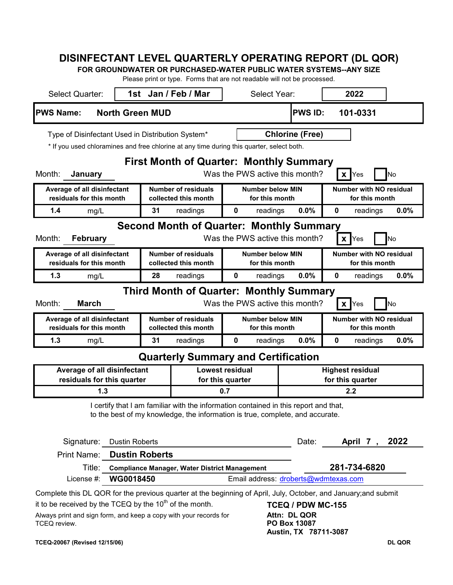# **DISINFECTANT LEVEL QUARTERLY OPERATING REPORT (DL QOR)**

**FOR GROUNDWATER OR PURCHASED-WATER PUBLIC WATER SYSTEMS--ANY SIZE**

Please print or type. Forms that are not readable will not be processed.

| <b>Select Quarter:</b>                                                                    |                                                                                                                | Ficase print or type. Forms that are not readable will not be processed.<br>1st Jan / Feb / Mar | Select Year:                                                          |                              | 2022                           |           |  |
|-------------------------------------------------------------------------------------------|----------------------------------------------------------------------------------------------------------------|-------------------------------------------------------------------------------------------------|-----------------------------------------------------------------------|------------------------------|--------------------------------|-----------|--|
|                                                                                           |                                                                                                                |                                                                                                 |                                                                       |                              |                                |           |  |
| <b>PWS Name:</b>                                                                          | <b>North Green MUD</b>                                                                                         |                                                                                                 |                                                                       | <b>PWS ID:</b>               | 101-0331                       |           |  |
| Type of Disinfectant Used in Distribution System*                                         |                                                                                                                |                                                                                                 |                                                                       | <b>Chlorine (Free)</b>       |                                |           |  |
| * If you used chloramines and free chlorine at any time during this quarter, select both. |                                                                                                                |                                                                                                 |                                                                       |                              |                                |           |  |
|                                                                                           |                                                                                                                | <b>First Month of Quarter: Monthly Summary</b>                                                  |                                                                       |                              |                                |           |  |
| Month:<br>January                                                                         |                                                                                                                |                                                                                                 | Was the PWS active this month?                                        |                              | $\mathsf{I} \mathsf{X}$<br>Yes | No        |  |
| Average of all disinfectant                                                               |                                                                                                                | <b>Number of residuals</b>                                                                      | <b>Number below MIN</b>                                               |                              | <b>Number with NO residual</b> |           |  |
| residuals for this month<br>1.4                                                           |                                                                                                                | collected this month                                                                            | for this month                                                        |                              | for this month                 |           |  |
| mg/L                                                                                      | 31                                                                                                             | readings                                                                                        | 0<br>readings                                                         | 0.0%                         | 0<br>readings                  | 0.0%      |  |
| Month:<br><b>February</b>                                                                 |                                                                                                                | <b>Second Month of Quarter: Monthly Summary</b>                                                 | Was the PWS active this month?                                        |                              | $\mathbf{x}$<br>Yes            | <b>No</b> |  |
| Average of all disinfectant                                                               |                                                                                                                | <b>Number of residuals</b>                                                                      | <b>Number below MIN</b>                                               |                              | <b>Number with NO residual</b> |           |  |
| residuals for this month                                                                  |                                                                                                                | collected this month                                                                            | for this month                                                        |                              | for this month                 |           |  |
| 1.3<br>mg/L                                                                               | 28                                                                                                             | readings                                                                                        | 0<br>readings                                                         | 0.0%                         | 0<br>readings                  | 0.0%      |  |
|                                                                                           |                                                                                                                | <b>Third Month of Quarter: Monthly Summary</b>                                                  |                                                                       |                              |                                |           |  |
| <b>March</b><br>Month:                                                                    |                                                                                                                |                                                                                                 | Was the PWS active this month?                                        |                              | $\mathsf{X}$ Yes               | <b>No</b> |  |
| Average of all disinfectant                                                               |                                                                                                                | <b>Number of residuals</b>                                                                      | <b>Number below MIN</b><br><b>Number with NO residual</b>             |                              |                                |           |  |
| residuals for this month<br>1.3                                                           | 31                                                                                                             | collected this month                                                                            | for this month<br>0                                                   | 0.0%                         | for this month<br>0            |           |  |
| mg/L                                                                                      |                                                                                                                | readings                                                                                        | readings                                                              |                              | readings                       | 0.0%      |  |
|                                                                                           |                                                                                                                | <b>Quarterly Summary and Certification</b>                                                      |                                                                       |                              |                                |           |  |
| Average of all disinfectant<br>residuals for this quarter                                 |                                                                                                                | for this quarter                                                                                | <b>Lowest residual</b><br><b>Highest residual</b><br>for this quarter |                              |                                |           |  |
| 1.3                                                                                       |                                                                                                                |                                                                                                 | 0.7                                                                   |                              | 2.2                            |           |  |
|                                                                                           |                                                                                                                | I certify that I am familiar with the information contained in this report and that,            |                                                                       |                              |                                |           |  |
|                                                                                           |                                                                                                                | to the best of my knowledge, the information is true, complete, and accurate.                   |                                                                       |                              |                                |           |  |
|                                                                                           |                                                                                                                |                                                                                                 |                                                                       |                              |                                |           |  |
| Signature:                                                                                | <b>Dustin Roberts</b>                                                                                          |                                                                                                 |                                                                       | Date:                        | April 7,                       | 2022      |  |
| Print Name:                                                                               | <b>Dustin Roberts</b>                                                                                          |                                                                                                 |                                                                       |                              |                                |           |  |
| Title:                                                                                    | 281-734-6820<br><b>Compliance Manager, Water District Management</b>                                           |                                                                                                 |                                                                       |                              |                                |           |  |
| License #:                                                                                | WG0018450                                                                                                      |                                                                                                 | Email address: droberts@wdmtexas.com                                  |                              |                                |           |  |
|                                                                                           | Complete this DL QOR for the previous quarter at the beginning of April, July, October, and January;and submit |                                                                                                 |                                                                       |                              |                                |           |  |
| it to be received by the TCEQ by the 10 <sup>th</sup> of the month.                       |                                                                                                                |                                                                                                 |                                                                       | <b>TCEQ / PDW MC-155</b>     |                                |           |  |
| Always print and sign form, and keep a copy with your records for<br>TCEQ review.         |                                                                                                                |                                                                                                 |                                                                       | Attn: DL QOR<br>PO Box 13087 |                                |           |  |
| Austin, TX 78711-3087                                                                     |                                                                                                                |                                                                                                 |                                                                       |                              |                                |           |  |

#### **TCEQ-20067 (Revised 12/15/06) DL QOR**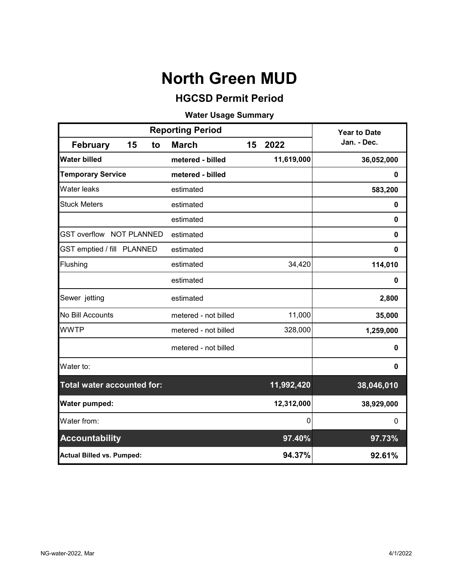# **HGCSD Permit Period**

# **Water Usage Summary**

|                                   |    |    | <b>Reporting Period</b> | <b>Year to Date</b> |            |             |
|-----------------------------------|----|----|-------------------------|---------------------|------------|-------------|
| <b>February</b>                   | 15 | to | <b>March</b>            | 15                  | 2022       | Jan. - Dec. |
| <b>Water billed</b>               |    |    | metered - billed        |                     | 11,619,000 | 36,052,000  |
| <b>Temporary Service</b>          |    |    | metered - billed        |                     |            | 0           |
| <b>Water leaks</b>                |    |    | estimated               |                     |            | 583,200     |
| <b>Stuck Meters</b>               |    |    | estimated               |                     |            | $\mathbf 0$ |
|                                   |    |    | estimated               |                     |            | 0           |
| <b>GST overflow NOT PLANNED</b>   |    |    | estimated               |                     |            | $\mathbf 0$ |
| GST emptied / fill PLANNED        |    |    | estimated               |                     |            | 0           |
| Flushing                          |    |    | estimated               |                     | 34,420     | 114,010     |
|                                   |    |    | estimated               |                     |            | 0           |
| Sewer jetting                     |    |    | estimated               |                     |            | 2,800       |
| No Bill Accounts                  |    |    | metered - not billed    |                     | 11,000     | 35,000      |
| <b>WWTP</b>                       |    |    | metered - not billed    |                     | 328,000    | 1,259,000   |
|                                   |    |    | metered - not billed    |                     |            | 0           |
| Water to:                         |    |    |                         |                     |            | 0           |
| <b>Total water accounted for:</b> |    |    |                         |                     | 11,992,420 | 38,046,010  |
| Water pumped:                     |    |    |                         |                     | 12,312,000 | 38,929,000  |
| Water from:                       |    |    |                         |                     | 0          | 0           |
| <b>Accountability</b>             |    |    |                         |                     | 97.40%     | 97.73%      |
| <b>Actual Billed vs. Pumped:</b>  |    |    |                         |                     | 94.37%     | 92.61%      |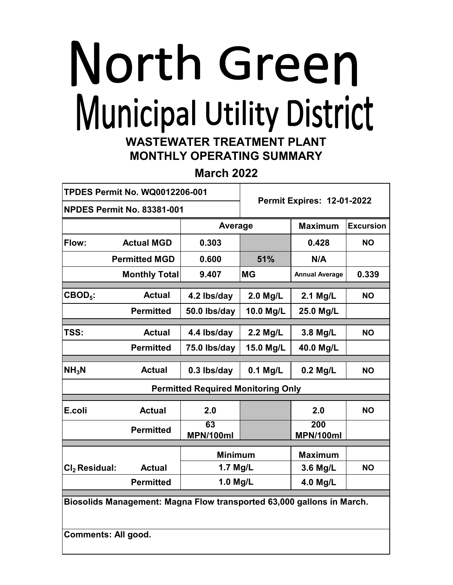# North Green Municipal Utility District **WASTEWATER TREATMENT PLANT**

# **MONTHLY OPERATING SUMMARY**

**March 2022**

|                                                                       | <b>TPDES Permit No. WQ0012206-001</b> | <b>Permit Expires: 12-01-2022</b>         |            |                         |                  |  |
|-----------------------------------------------------------------------|---------------------------------------|-------------------------------------------|------------|-------------------------|------------------|--|
|                                                                       | <b>NPDES Permit No. 83381-001</b>     |                                           |            |                         |                  |  |
|                                                                       |                                       | Average                                   |            | <b>Maximum</b>          | <b>Excursion</b> |  |
| Flow:                                                                 | <b>Actual MGD</b>                     | 0.303                                     |            | 0.428                   | <b>NO</b>        |  |
|                                                                       | <b>Permitted MGD</b>                  | 0.600                                     | 51%        | N/A                     |                  |  |
|                                                                       | <b>Monthly Total</b>                  | 9.407                                     | <b>MG</b>  | <b>Annual Average</b>   | 0.339            |  |
| $CBOD5$ :                                                             | <b>Actual</b>                         | 4.2 lbs/day                               | $2.0$ Mg/L | 2.1 Mg/L                | <b>NO</b>        |  |
|                                                                       | <b>Permitted</b>                      | 50.0 lbs/day                              | 10.0 Mg/L  | 25.0 Mg/L               |                  |  |
| TSS:                                                                  | <b>Actual</b>                         | 4.4 lbs/day                               | 2.2 Mg/L   | 3.8 Mg/L                | <b>NO</b>        |  |
|                                                                       | <b>Permitted</b>                      | 75.0 lbs/day                              | 15.0 Mg/L  | 40.0 Mg/L               |                  |  |
| NH <sub>3</sub> N                                                     | <b>Actual</b>                         | 0.3 lbs/day                               | 0.1 Mg/L   | $0.2$ Mg/L              | <b>NO</b>        |  |
|                                                                       |                                       | <b>Permitted Required Monitoring Only</b> |            |                         |                  |  |
| E.coli                                                                | <b>Actual</b>                         | 2.0                                       |            | 2.0                     | <b>NO</b>        |  |
|                                                                       | <b>Permitted</b>                      | 63<br><b>MPN/100ml</b>                    |            | 200<br><b>MPN/100ml</b> |                  |  |
|                                                                       |                                       | <b>Minimum</b>                            |            | <b>Maximum</b>          |                  |  |
| Cl <sub>2</sub> Residual:                                             | <b>Actual</b>                         | 1.7 Mg/L                                  |            | 3.6 Mg/L                | <b>NO</b>        |  |
|                                                                       | <b>Permitted</b>                      | 1.0 Mg/L                                  |            | 4.0 Mg/L                |                  |  |
| Biosolids Management: Magna Flow transported 63,000 gallons in March. |                                       |                                           |            |                         |                  |  |

**Comments: All good.**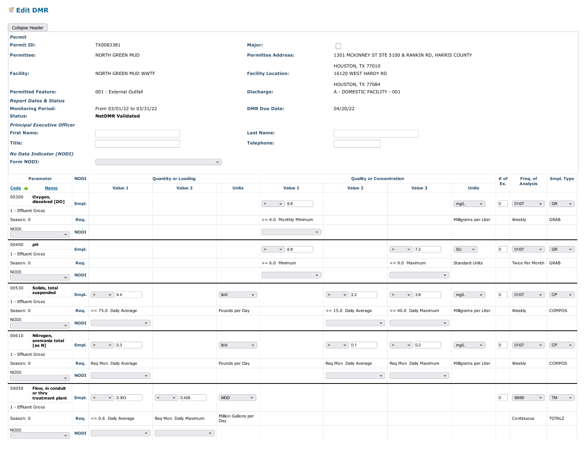### ■ Edit DMR

| <b>Edit DMR</b>                                                                                                                                                                                                                                                                                                                                                                                                                                                |             |                                                                                                                                                                                                                                                                                                                                                                                                                         |                                  |                                                       |                           |                                 |                                                                                                                                                                                                                                                                                                                               |                               |                                                           |                                                                 |
|----------------------------------------------------------------------------------------------------------------------------------------------------------------------------------------------------------------------------------------------------------------------------------------------------------------------------------------------------------------------------------------------------------------------------------------------------------------|-------------|-------------------------------------------------------------------------------------------------------------------------------------------------------------------------------------------------------------------------------------------------------------------------------------------------------------------------------------------------------------------------------------------------------------------------|----------------------------------|-------------------------------------------------------|---------------------------|---------------------------------|-------------------------------------------------------------------------------------------------------------------------------------------------------------------------------------------------------------------------------------------------------------------------------------------------------------------------------|-------------------------------|-----------------------------------------------------------|-----------------------------------------------------------------|
| Collapse Header                                                                                                                                                                                                                                                                                                                                                                                                                                                |             |                                                                                                                                                                                                                                                                                                                                                                                                                         |                                  |                                                       |                           |                                 |                                                                                                                                                                                                                                                                                                                               |                               |                                                           |                                                                 |
| Permit                                                                                                                                                                                                                                                                                                                                                                                                                                                         |             |                                                                                                                                                                                                                                                                                                                                                                                                                         |                                  |                                                       |                           |                                 |                                                                                                                                                                                                                                                                                                                               |                               |                                                           |                                                                 |
| <b>Permit ID:</b>                                                                                                                                                                                                                                                                                                                                                                                                                                              |             | TX0083381                                                                                                                                                                                                                                                                                                                                                                                                               |                                  | Major:                                                |                           | $\Box$                          |                                                                                                                                                                                                                                                                                                                               |                               |                                                           |                                                                 |
| <b>Permittee:</b>                                                                                                                                                                                                                                                                                                                                                                                                                                              |             | NORTH GREEN MUD                                                                                                                                                                                                                                                                                                                                                                                                         |                                  |                                                       | <b>Permittee Address:</b> |                                 | 1301 MCKINNEY ST STE 5100 & RANKIN RD, HARRIS COUNTY                                                                                                                                                                                                                                                                          |                               |                                                           |                                                                 |
|                                                                                                                                                                                                                                                                                                                                                                                                                                                                |             |                                                                                                                                                                                                                                                                                                                                                                                                                         |                                  |                                                       |                           | HOUSTON, TX 77010               |                                                                                                                                                                                                                                                                                                                               |                               |                                                           |                                                                 |
| <b>Facility:</b>                                                                                                                                                                                                                                                                                                                                                                                                                                               |             | NORTH GREEN MUD WWTF                                                                                                                                                                                                                                                                                                                                                                                                    |                                  |                                                       | <b>Facility Location:</b> | 16120 WEST HARDY RD             |                                                                                                                                                                                                                                                                                                                               |                               |                                                           |                                                                 |
|                                                                                                                                                                                                                                                                                                                                                                                                                                                                |             |                                                                                                                                                                                                                                                                                                                                                                                                                         |                                  |                                                       |                           | HOUSTON, TX 77084               |                                                                                                                                                                                                                                                                                                                               |                               |                                                           |                                                                 |
| <b>Permitted Feature:</b><br><b>Report Dates &amp; Status</b>                                                                                                                                                                                                                                                                                                                                                                                                  |             | 001 - External Outfall                                                                                                                                                                                                                                                                                                                                                                                                  |                                  |                                                       | Discharge:                | A - DOMESTIC FACILITY - 001     |                                                                                                                                                                                                                                                                                                                               |                               |                                                           |                                                                 |
| <b>Monitoring Period:</b>                                                                                                                                                                                                                                                                                                                                                                                                                                      |             | From 03/01/22 to 03/31/22                                                                                                                                                                                                                                                                                                                                                                                               |                                  |                                                       | <b>DMR Due Date:</b>      | 04/20/22                        |                                                                                                                                                                                                                                                                                                                               |                               |                                                           |                                                                 |
| <b>Status:</b>                                                                                                                                                                                                                                                                                                                                                                                                                                                 |             | <b>NetDMR Validated</b>                                                                                                                                                                                                                                                                                                                                                                                                 |                                  |                                                       |                           |                                 |                                                                                                                                                                                                                                                                                                                               |                               |                                                           |                                                                 |
| <b>Principal Executive Officer</b>                                                                                                                                                                                                                                                                                                                                                                                                                             |             |                                                                                                                                                                                                                                                                                                                                                                                                                         |                                  |                                                       |                           |                                 |                                                                                                                                                                                                                                                                                                                               |                               |                                                           |                                                                 |
| <b>First Name:</b>                                                                                                                                                                                                                                                                                                                                                                                                                                             |             |                                                                                                                                                                                                                                                                                                                                                                                                                         |                                  |                                                       | <b>Last Name:</b>         |                                 |                                                                                                                                                                                                                                                                                                                               |                               |                                                           |                                                                 |
| <b>Title:</b>                                                                                                                                                                                                                                                                                                                                                                                                                                                  |             |                                                                                                                                                                                                                                                                                                                                                                                                                         |                                  |                                                       | <b>Telephone:</b>         |                                 |                                                                                                                                                                                                                                                                                                                               |                               |                                                           |                                                                 |
| <b>No Data Indicator (NODI)</b>                                                                                                                                                                                                                                                                                                                                                                                                                                |             |                                                                                                                                                                                                                                                                                                                                                                                                                         |                                  |                                                       |                           |                                 |                                                                                                                                                                                                                                                                                                                               |                               |                                                           |                                                                 |
| Form NODI:                                                                                                                                                                                                                                                                                                                                                                                                                                                     |             |                                                                                                                                                                                                                                                                                                                                                                                                                         |                                  | $\mathcal{A}$                                         |                           |                                 |                                                                                                                                                                                                                                                                                                                               |                               |                                                           |                                                                 |
| Parameter                                                                                                                                                                                                                                                                                                                                                                                                                                                      | <b>NODI</b> |                                                                                                                                                                                                                                                                                                                                                                                                                         | <b>Quantity or Loading</b>       |                                                       |                           | <b>Quality or Concentration</b> |                                                                                                                                                                                                                                                                                                                               |                               | # of<br>Freq. of                                          | <b>Smpl. Type</b>                                               |
| $Code$ $\triangle$<br><u>Name</u>                                                                                                                                                                                                                                                                                                                                                                                                                              |             | Value 1                                                                                                                                                                                                                                                                                                                                                                                                                 | Value 2                          | <b>Units</b>                                          | Value 1                   | Value 2                         | Value 3                                                                                                                                                                                                                                                                                                                       | <b>Units</b>                  | Ex.<br><b>Analysis</b>                                    |                                                                 |
| 00300<br>Oxygen,                                                                                                                                                                                                                                                                                                                                                                                                                                               |             |                                                                                                                                                                                                                                                                                                                                                                                                                         |                                  |                                                       |                           |                                 |                                                                                                                                                                                                                                                                                                                               |                               |                                                           |                                                                 |
| dissolved [DO]                                                                                                                                                                                                                                                                                                                                                                                                                                                 | Smpl.       |                                                                                                                                                                                                                                                                                                                                                                                                                         |                                  |                                                       | $=$<br>$\vee$ 6.8         |                                 |                                                                                                                                                                                                                                                                                                                               | mg/L<br>$\mathbf{v}$          | $\boxed{0}$<br>$\left[01/07\right]$<br>$\vert \vee \vert$ | $\begin{bmatrix} \text{GR} & \times \end{bmatrix}$              |
| 1 - Effluent Gross<br>Season: 0                                                                                                                                                                                                                                                                                                                                                                                                                                | Req.        |                                                                                                                                                                                                                                                                                                                                                                                                                         |                                  |                                                       | >= 4.0 Monthly Minimum    |                                 |                                                                                                                                                                                                                                                                                                                               | Milligrams per Liter          | Weekly                                                    | GRAB                                                            |
| NODI:                                                                                                                                                                                                                                                                                                                                                                                                                                                          |             |                                                                                                                                                                                                                                                                                                                                                                                                                         |                                  |                                                       |                           |                                 |                                                                                                                                                                                                                                                                                                                               |                               |                                                           |                                                                 |
| $\vee$                                                                                                                                                                                                                                                                                                                                                                                                                                                         | <b>NODI</b> |                                                                                                                                                                                                                                                                                                                                                                                                                         |                                  |                                                       | $\vert \vee \vert$        |                                 |                                                                                                                                                                                                                                                                                                                               |                               |                                                           |                                                                 |
| 00400 pH                                                                                                                                                                                                                                                                                                                                                                                                                                                       | Smpl.       |                                                                                                                                                                                                                                                                                                                                                                                                                         |                                  |                                                       | $=$ $\vee$ 6.8            |                                 | $=$ $\vee$   7.2                                                                                                                                                                                                                                                                                                              | $(su \t v)$                   | $\boxed{0}$<br>[01/07]                                    | $\vee$ $\begin{array}{ccc} \circ & \circ \end{array}$ GR $\vee$ |
| 1 - Effluent Gross                                                                                                                                                                                                                                                                                                                                                                                                                                             |             |                                                                                                                                                                                                                                                                                                                                                                                                                         |                                  |                                                       |                           |                                 |                                                                                                                                                                                                                                                                                                                               |                               |                                                           |                                                                 |
| Season: 0                                                                                                                                                                                                                                                                                                                                                                                                                                                      | Req.        |                                                                                                                                                                                                                                                                                                                                                                                                                         |                                  |                                                       | $>= 6.0$ Minimum          |                                 | $\epsilon$ = 9.0 Maximum                                                                                                                                                                                                                                                                                                      | <b>Standard Units</b>         | Twice Per Month GRAB                                      |                                                                 |
| NODI:<br>$\vert \mathbf{v} \vert$                                                                                                                                                                                                                                                                                                                                                                                                                              | <b>NODI</b> |                                                                                                                                                                                                                                                                                                                                                                                                                         |                                  |                                                       | $\mathbf{v}$              |                                 | $\mathbf{v}$                                                                                                                                                                                                                                                                                                                  |                               |                                                           |                                                                 |
| 00530 Solids, total<br>suspended                                                                                                                                                                                                                                                                                                                                                                                                                               | Smpl.       | $\vee$  4.4<br>$=$                                                                                                                                                                                                                                                                                                                                                                                                      |                                  | bb/d<br>$\checkmark$                                  |                           | $\vee$ 2.2<br>$=$               | $=$<br>$\vee$ 3.8                                                                                                                                                                                                                                                                                                             | mg/L<br>$\mathbf{v}$          | $ 0\rangle$<br>$\left[01/07\right]$<br>$\sim$             | $\begin{bmatrix} \mathsf{CP} \end{bmatrix}$<br>$\sim$ $\sim$    |
| 1 - Effluent Gross                                                                                                                                                                                                                                                                                                                                                                                                                                             |             |                                                                                                                                                                                                                                                                                                                                                                                                                         |                                  |                                                       |                           |                                 |                                                                                                                                                                                                                                                                                                                               |                               |                                                           |                                                                 |
| Season: 0                                                                                                                                                                                                                                                                                                                                                                                                                                                      |             | <b>Req.</b> $\leq$ = 75.0 Daily Average                                                                                                                                                                                                                                                                                                                                                                                 |                                  | Pounds per Day                                        |                           | $<= 15.0$ Daily Average         | $\vert$ <= 40.0 Daily Maximum                                                                                                                                                                                                                                                                                                 | Milligrams per Liter          | Weekly                                                    | COMPOS                                                          |
| NODI:                                                                                                                                                                                                                                                                                                                                                                                                                                                          |             | $\begin{array}{ c c c c c }\hline \multicolumn{1}{ c }{\hspace{1.2cm}} &\text{NODI} & \hline \multicolumn{1}{ c }{\hspace{1.2cm}} & \multicolumn{1}{ c }{\hspace{1.2cm}} & \multicolumn{1}{ c }{\hspace{1.2cm}} & \multicolumn{1}{ c }{\hspace{1.2cm}} & \multicolumn{1}{ c }{\hspace{1.2cm}} & \multicolumn{1}{ c }{\hspace{1.2cm}} & \multicolumn{1}{ c }{\hspace{1.2cm}} & \multicolumn{1}{ c }{\hspace{1.2cm}} & \$ |                                  |                                                       |                           |                                 | $\begin{array}{ c c c c c }\hline \rule{0pt}{16pt} & & \quad \mathsf{v} \end{array}$ $\begin{array}{ c c c c c c }\hline \rule{0pt}{16pt} & & \quad \mathsf{v} \end{array}$                                                                                                                                                   |                               |                                                           |                                                                 |
|                                                                                                                                                                                                                                                                                                                                                                                                                                                                |             |                                                                                                                                                                                                                                                                                                                                                                                                                         |                                  |                                                       |                           |                                 |                                                                                                                                                                                                                                                                                                                               |                               |                                                           |                                                                 |
| 00610 <b>Nitrogen,<br/>ammonia total</b><br>[as N]                                                                                                                                                                                                                                                                                                                                                                                                             |             | <b>Smpl.</b> $\left[ \begin{array}{ccc} 5 & 0 \\ 0.3 & 0 \end{array} \right]$                                                                                                                                                                                                                                                                                                                                           |                                  | $I_{\text{bb}}$<br>$\sim$ $\sim$ $\sim$ $\sim$ $\sim$ |                           | $=$ $\vee$ $ 0.1$               | $\vert$ = $\vert$ $\vert$ $\vert$ 0.2                                                                                                                                                                                                                                                                                         | mg/L<br>$\sim$ $\sim$ $\vert$ | $\boxed{0}$<br>$\boxed{01/07}$                            | $\vee$ CP $\vee$                                                |
| 1 - Effluent Gross                                                                                                                                                                                                                                                                                                                                                                                                                                             |             |                                                                                                                                                                                                                                                                                                                                                                                                                         |                                  |                                                       |                           |                                 |                                                                                                                                                                                                                                                                                                                               |                               |                                                           |                                                                 |
| Season: 0                                                                                                                                                                                                                                                                                                                                                                                                                                                      |             | Req. Req Mon Daily Average                                                                                                                                                                                                                                                                                                                                                                                              |                                  | Pounds per Day                                        |                           | Req Mon Daily Average           | Req Mon Daily Maximum                                                                                                                                                                                                                                                                                                         | Milligrams per Liter          | Weekly                                                    | COMPOS                                                          |
| MODI:                                                                                                                                                                                                                                                                                                                                                                                                                                                          |             | $\begin{array}{ c c c c c }\hline \multicolumn{1}{ c }{\hspace{1.2cm}} &\multicolumn{1}{ c }{\hspace{1.2cm}} &\multicolumn{1}{ c }{\hspace{1.2cm}} &\multicolumn{1}{ c }{\hspace{1.2cm}} &\multicolumn{1}{ c }{\hspace{1.2cm}} &\multicolumn{1}{ c }{\hspace{1.2cm}} &\multicolumn{1}{ c }{\hspace{1.2cm}} &\multicolumn{1}{ c }{\hspace{1.2cm}}&\multicolumn{1}{ c }{\hspace{1.2cm}}}&\multicolumn{1}{ c }{\$          |                                  |                                                       |                           |                                 | $\begin{bmatrix} 1 & 0 & 0 & 0 \\ 0 & 0 & 0 & 0 \\ 0 & 0 & 0 & 0 \\ 0 & 0 & 0 & 0 \\ 0 & 0 & 0 & 0 \\ 0 & 0 & 0 & 0 \\ 0 & 0 & 0 & 0 \\ 0 & 0 & 0 & 0 \\ 0 & 0 & 0 & 0 \\ 0 & 0 & 0 & 0 \\ 0 & 0 & 0 & 0 & 0 \\ 0 & 0 & 0 & 0 & 0 \\ 0 & 0 & 0 & 0 & 0 \\ 0 & 0 & 0 & 0 & 0 & 0 \\ 0 & 0 & 0 & 0 & 0 & 0 \\ 0 & 0 & 0 & 0 & $ |                               |                                                           |                                                                 |
|                                                                                                                                                                                                                                                                                                                                                                                                                                                                |             |                                                                                                                                                                                                                                                                                                                                                                                                                         |                                  |                                                       |                           |                                 |                                                                                                                                                                                                                                                                                                                               |                               |                                                           |                                                                 |
| 50050 Flow, in conduit<br>or thru<br>treatment plant Smpl. $\boxed{2 \times 0.303}$                                                                                                                                                                                                                                                                                                                                                                            |             |                                                                                                                                                                                                                                                                                                                                                                                                                         |                                  |                                                       |                           |                                 |                                                                                                                                                                                                                                                                                                                               |                               |                                                           |                                                                 |
|                                                                                                                                                                                                                                                                                                                                                                                                                                                                |             |                                                                                                                                                                                                                                                                                                                                                                                                                         | $=$ $\vee$ 0.428                 | MGD<br>$\sim$ $\sim$ $\sim$ $\sim$                    |                           |                                 |                                                                                                                                                                                                                                                                                                                               |                               | $\boxed{\circ}$<br>99/99                                  | $\vee$   $\lceil$ TM $\vee$                                     |
| 1 - Effluent Gross<br>Season: 0                                                                                                                                                                                                                                                                                                                                                                                                                                |             | <b>Req.</b> $\leq$ = 0.6 Daily Average                                                                                                                                                                                                                                                                                                                                                                                  | Req Mon Daily Maximum            | Million Gallons per                                   |                           |                                 |                                                                                                                                                                                                                                                                                                                               |                               | Continuous                                                | <b>TOTALZ</b>                                                   |
|                                                                                                                                                                                                                                                                                                                                                                                                                                                                |             |                                                                                                                                                                                                                                                                                                                                                                                                                         |                                  | Day                                                   |                           |                                 |                                                                                                                                                                                                                                                                                                                               |                               |                                                           |                                                                 |
| NODI:<br>$\begin{array}{c c c c c} \hline \multicolumn{3}{c }{\textbf{1}} & \multicolumn{3}{c }{\textbf{1}} & \multicolumn{3}{c }{\textbf{1}} & \multicolumn{3}{c }{\textbf{1}} & \multicolumn{3}{c }{\textbf{1}} & \multicolumn{3}{c }{\textbf{1}} & \multicolumn{3}{c }{\textbf{1}} & \multicolumn{3}{c }{\textbf{1}} & \multicolumn{3}{c }{\textbf{1}} & \multicolumn{3}{c }{\textbf{1}} & \multicolumn{3}{c }{\textbf{1}} & \multicolumn{3}{c }{\textbf{1$ |             |                                                                                                                                                                                                                                                                                                                                                                                                                         | <b>Service State State State</b> |                                                       |                           |                                 |                                                                                                                                                                                                                                                                                                                               |                               |                                                           |                                                                 |
|                                                                                                                                                                                                                                                                                                                                                                                                                                                                |             |                                                                                                                                                                                                                                                                                                                                                                                                                         |                                  |                                                       |                           |                                 |                                                                                                                                                                                                                                                                                                                               |                               |                                                           |                                                                 |
|                                                                                                                                                                                                                                                                                                                                                                                                                                                                |             |                                                                                                                                                                                                                                                                                                                                                                                                                         |                                  |                                                       |                           |                                 |                                                                                                                                                                                                                                                                                                                               |                               |                                                           |                                                                 |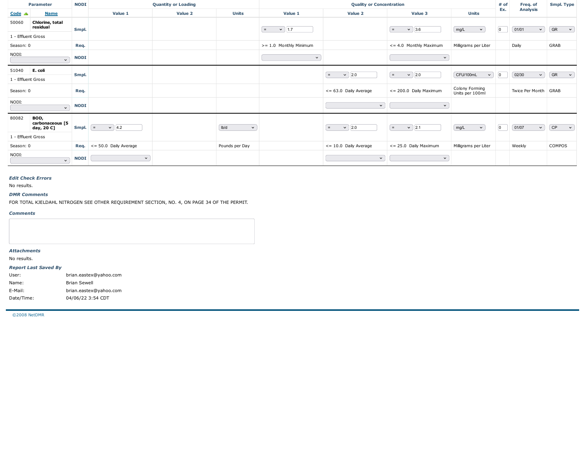| Parameter                            |                               | <b>NODI</b>         |                                                                                                | <b>Quantity or Loading</b> |                                                            |                        | <b>Quality or Concentration</b> |                                    |                                   | # of<br>Freq. of                                 | <b>Smpl. Type</b>                                      |
|--------------------------------------|-------------------------------|---------------------|------------------------------------------------------------------------------------------------|----------------------------|------------------------------------------------------------|------------------------|---------------------------------|------------------------------------|-----------------------------------|--------------------------------------------------|--------------------------------------------------------|
| Code $\triangle$<br><b>Name</b>      |                               |                     | Value 1                                                                                        | Value 2                    | <b>Units</b>                                               | Value 1                | Value 2                         | Value 3                            | <b>Units</b>                      | <b>Analysis</b><br>Ex.                           |                                                        |
| 50060<br>Chlorine, total<br>residual |                               | Smpl.               |                                                                                                |                            |                                                            | $=$ $\sqrt{1.7}$       |                                 | $=$ $\sqrt{3.6}$                   | mg/L                              | $\boxed{0}$<br>$\boxed{01/01}$<br>$\sim$ $\vert$ | $\begin{bmatrix} \text{GR} & \mathbf{v} \end{bmatrix}$ |
| 1 - Effluent Gross                   |                               |                     |                                                                                                |                            |                                                            |                        |                                 |                                    | $\mathbf{v}$                      |                                                  |                                                        |
| Season: 0                            |                               | Req.                |                                                                                                |                            |                                                            | >= 1.0 Monthly Minimum |                                 | $\leq$ = 4.0 Monthly Maximum       | Milligrams per Liter              | Daily                                            | GRAB                                                   |
| NODI:                                | $\overline{\phantom{0}}$      | <b>NODI</b>         |                                                                                                |                            |                                                            | $\sim$ )               |                                 | $\vert$ $\vert$ $\vert$            |                                   |                                                  |                                                        |
| 51040 <b>E. coli</b>                 |                               | Smpl.               |                                                                                                |                            |                                                            |                        | $=$ $\sqrt{ 2.0 }$              | $=$ $\sqrt{2.0}$                   | $CFU/100mL \t\t v$ 0              | $\boxed{02/30}$                                  | $\vee$ GR $\vee$                                       |
| 1 - Effluent Gross                   |                               |                     |                                                                                                |                            |                                                            |                        |                                 |                                    |                                   |                                                  |                                                        |
| Season: 0                            |                               | Req.                |                                                                                                |                            |                                                            |                        | <= 63.0 Daily Average           | <= 200.0 Daily Maximum             | Colony Forming<br>Units per 100ml | Twice Per Month GRAB                             |                                                        |
| NODI:                                | $\overline{\phantom{a}}$ NODI |                     |                                                                                                |                            |                                                            |                        | $\mathbf{v}$                    | $\sim$ $\sim$ $\sim$ $\sim$ $\sim$ |                                   |                                                  |                                                        |
| 80082 <b>BOD,</b><br>carbonaceous [5 |                               |                     |                                                                                                |                            |                                                            |                        |                                 |                                    |                                   |                                                  |                                                        |
| day, 20 C]                           |                               |                     | <b>Smpl.</b> $\begin{bmatrix} = \\ 0 \end{bmatrix}$ $\begin{bmatrix} 4.2 \\ 4.2 \end{bmatrix}$ |                            | Ib/d<br>$\left[ \begin{array}{c} \sim \end{array} \right]$ |                        | $=$ $\sqrt{ 2.0 }$              | $=$ $\sqrt{2.1}$                   | mg/L<br>$\mathbf{v}$              | $\boxed{0}$<br>$\boxed{01/07}$                   | $\triangledown$ $[CP \rightarrow)$                     |
| 1 - Effluent Gross<br>Season: 0      |                               |                     | <b>Req.</b> $\leq$ = 50.0 Daily Average                                                        |                            | Pounds per Day                                             |                        | $<= 10.0$ Daily Average         | <= 25.0 Daily Maximum              | Milligrams per Liter              | Weekly                                           | COMPOS                                                 |
| NODI:                                |                               | <b>NODI</b>         | $\mathbf{v}$                                                                                   |                            |                                                            |                        | $\vert \vee \vert$              | $\mathbf{v}$                       |                                   |                                                  |                                                        |
|                                      | $\sqrt{ }$                    |                     |                                                                                                |                            |                                                            |                        |                                 |                                    |                                   |                                                  |                                                        |
| <b>Edit Check Errors</b>             |                               |                     |                                                                                                |                            |                                                            |                        |                                 |                                    |                                   |                                                  |                                                        |
| No results.<br><b>DMR Comments</b>   |                               |                     |                                                                                                |                            |                                                            |                        |                                 |                                    |                                   |                                                  |                                                        |
|                                      |                               |                     | FOR TOTAL KJELDAHL NITROGEN SEE OTHER REQUIREMENT SECTION, NO. 4, ON PAGE 34 OF THE PERMIT.    |                            |                                                            |                        |                                 |                                    |                                   |                                                  |                                                        |
| <b>Comments</b>                      |                               |                     |                                                                                                |                            |                                                            |                        |                                 |                                    |                                   |                                                  |                                                        |
|                                      |                               |                     |                                                                                                |                            |                                                            |                        |                                 |                                    |                                   |                                                  |                                                        |
|                                      |                               |                     |                                                                                                |                            |                                                            |                        |                                 |                                    |                                   |                                                  |                                                        |
| <b>Attachments</b>                   |                               |                     |                                                                                                |                            |                                                            |                        |                                 |                                    |                                   |                                                  |                                                        |
| No results.                          |                               |                     |                                                                                                |                            |                                                            |                        |                                 |                                    |                                   |                                                  |                                                        |
| <b>Report Last Saved By</b><br>User: |                               |                     | brian.eastex@yahoo.com                                                                         |                            |                                                            |                        |                                 |                                    |                                   |                                                  |                                                        |
| Name:                                |                               | <b>Brian Sewell</b> |                                                                                                |                            |                                                            |                        |                                 |                                    |                                   |                                                  |                                                        |
| E-Mail:<br>Date/Time:                |                               |                     | brian.eastex@yahoo.com<br>04/06/22 3:54 CDT                                                    |                            |                                                            |                        |                                 |                                    |                                   |                                                  |                                                        |
|                                      |                               |                     |                                                                                                |                            |                                                            |                        |                                 |                                    |                                   |                                                  |                                                        |
| ©2008 NetDMR                         |                               |                     |                                                                                                |                            |                                                            |                        |                                 |                                    |                                   |                                                  |                                                        |
|                                      |                               |                     |                                                                                                |                            |                                                            |                        |                                 |                                    |                                   |                                                  |                                                        |
|                                      |                               |                     |                                                                                                |                            |                                                            |                        |                                 |                                    |                                   |                                                  |                                                        |

#### DMR Comments

#### **Comments**

| <b>Attachments</b>          |                        |
|-----------------------------|------------------------|
| No results.                 |                        |
| <b>Report Last Saved By</b> |                        |
| User:                       | brian.eastex@yahoo.com |

| Name:      | <b>Brian Sewell</b>    |
|------------|------------------------|
| E-Mail:    | brian.eastex@yahoo.com |
| Date/Time: | 04/06/22 3:54 CDT      |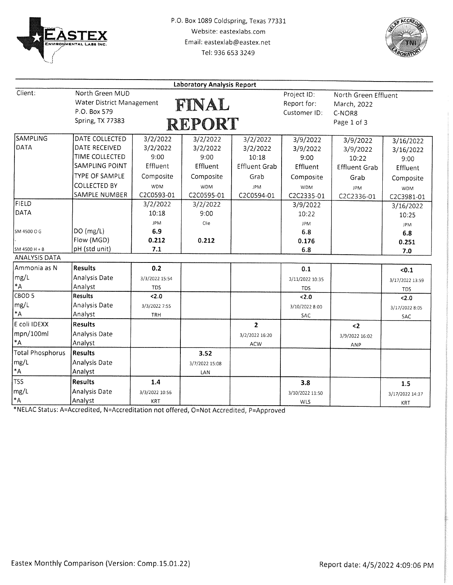



|                         |                           |                | <b>Laboratory Analysis Report</b> |                      |                 |                      |                 |
|-------------------------|---------------------------|----------------|-----------------------------------|----------------------|-----------------|----------------------|-----------------|
| Client:                 | North Green MUD           |                |                                   |                      | Project ID:     | North Green Effluent |                 |
|                         | Water District Management |                | FINAL                             |                      | Report for:     | March, 2022          |                 |
|                         | P.O. Box 579              |                |                                   |                      | Customer ID:    | C-NOR8               |                 |
|                         | <b>Spring, TX 77383</b>   |                | <b>REPORT</b>                     |                      |                 | Page 1 of 3          |                 |
|                         |                           |                |                                   |                      |                 |                      |                 |
| SAMPLING<br>DATA        | DATE COLLECTED            | 3/2/2022       | 3/2/2022                          | 3/2/2022             | 3/9/2022        | 3/9/2022             | 3/16/2022       |
|                         | DATE RECEIVED             | 3/2/2022       | 3/2/2022                          | 3/2/2022             | 3/9/2022        | 3/9/2022             | 3/16/2022       |
|                         | TIME COLLECTED            | 9:00           | 9:00                              | 10:18                | 9:00            | 10:22                | 9:00            |
|                         | SAMPLING POINT            | Effluent       | Effluent                          | <b>Effluent Grab</b> | Effluent        | <b>Effluent Grab</b> | Effluent        |
|                         | TYPE OF SAMPLE            | Composite      | Composite                         | Grab                 | Composite       | Grab                 | Composite       |
|                         | <b>COLLECTED BY</b>       | <b>WDM</b>     | <b>WDM</b>                        | <b>JPM</b>           | <b>WDM</b>      | <b>JPM</b>           | <b>WDM</b>      |
|                         | SAMPLE NUMBER             | C2C0593-01     | C2C0595-01                        | C2C0594-01           | C2C2335-01      | C2C2336-01           | C2C3981-01      |
| <b>FIELD</b>            |                           | 3/2/2022       | 3/2/2022                          |                      | 3/9/2022        |                      | 3/16/2022       |
| DATA                    |                           | 10:18          | 9:00                              |                      | 10:22           |                      | 10:25           |
|                         |                           | <b>JPM</b>     | Clie                              |                      | <b>JPM</b>      |                      | <b>JPM</b>      |
| SM 4500 O G             | DO (mg/L)                 | 6.9            |                                   |                      | 6.8             |                      | 6.8             |
|                         | Flow (MGD)                | 0.212          | 0.212                             |                      | 0.176           |                      | 0.251           |
| $SM 4500 H + B$         | pH (std unit)             | 7.1            |                                   |                      | 6.8             |                      | 7.0             |
| <b>ANALYSIS DATA</b>    |                           |                |                                   |                      |                 |                      |                 |
| Ammonia as N            | <b>Results</b>            | 0.2            |                                   |                      | 0.1             |                      | < 0.1           |
| mg/L                    | Analysis Date             | 3/3/2022 15:54 |                                   |                      | 3/11/2022 10:35 |                      | 3/17/2022 13:59 |
| $^*A$                   | Analyst                   | TDS            |                                   |                      | <b>TDS</b>      |                      | TDS             |
| CBOD <sub>5</sub>       | <b>Results</b>            | 2.0            |                                   |                      | 2.0             |                      | 2.0             |
| mg/L                    | Analysis Date             | 3/3/2022 7:55  |                                   |                      | 3/10/2022 8:00  |                      | 3/17/2022 8:05  |
| $\star$ A               | Analyst                   | TRH            |                                   |                      | SAC             |                      | SAC             |
| E coli IDEXX            | <b>Results</b>            |                |                                   | $\overline{2}$       |                 | $2$                  |                 |
| mpn/100ml               | Analysis Date             |                |                                   | 3/2/2022 16:20       |                 | 3/9/2022 16:02       |                 |
| $\texttt{*A}$           | Analyst                   |                |                                   | ACW                  |                 | ANP                  |                 |
| <b>Total Phosphorus</b> | <b>Results</b>            |                | 3.52                              |                      |                 |                      |                 |
| mg/L                    | Analysis Date             |                | 3/7/2022 15:08                    |                      |                 |                      |                 |
| $\texttt{*A}$           | Analyst                   |                | LAN                               |                      |                 |                      |                 |
| <b>TSS</b>              | <b>Results</b>            | 1.4            |                                   |                      | 3.8             |                      | 1.5             |
| mg/L                    | Analysis Date             | 3/3/2022 10:56 |                                   |                      | 3/10/2022 11:50 |                      | 3/17/2022 14:37 |
| $\star_{\mathsf{A}}$    | Analyst                   | KRT            |                                   |                      | WLS             |                      | <b>KRT</b>      |

\*NELAC Status: A=Accredited, N=Accreditation not offered, O=Not Accredited, P=Approved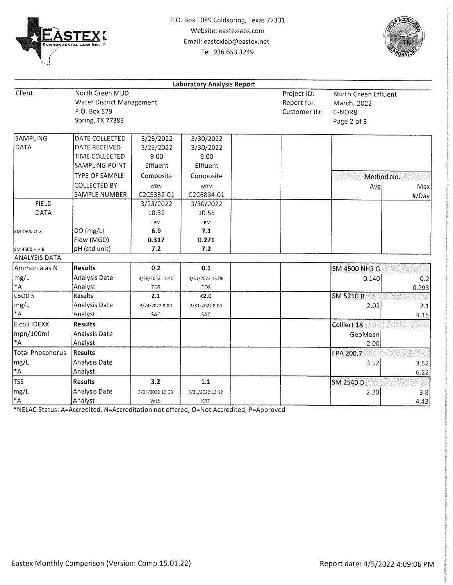



|                      |                           |                 | <b>Laboratory Analysis Report</b> |              |                      |       |
|----------------------|---------------------------|-----------------|-----------------------------------|--------------|----------------------|-------|
| Client:              | North Green MUD           |                 |                                   | Project ID:  | North Green Effluent |       |
|                      | Water District Management |                 |                                   | Report for:  | March, 2022          |       |
|                      | P.O. Box 579              |                 |                                   | Customer ID: | C-NOR8               |       |
|                      | Spring, TX 77383          |                 |                                   |              | Page 2 of 3          |       |
| SAMPLING             | DATE COLLECTED            | 3/23/2022       | 3/30/2022                         |              |                      |       |
| DATA                 | DATE RECEIVED             | 3/23/2022       | 3/30/2022                         |              |                      |       |
|                      | TIME COLLECTED            | 9:00            | 9:00                              |              |                      |       |
|                      | SAMPLING POINT            | Effluent        | Effluent                          |              |                      |       |
|                      | <b>TYPE OF SAMPLE</b>     | Composite       | Composite                         |              | Method No.           |       |
|                      | <b>COLLECTED BY</b>       | <b>WDM</b>      | <b>WDM</b>                        |              | Avg                  | Max   |
|                      | SAMPLE NUMBER             | C2C5382-01      | C2C6834-01                        |              |                      | #/Day |
| <b>FIELD</b>         |                           | 3/23/2022       | 3/30/2022                         |              |                      |       |
| DATA                 |                           | 10:32           | 10:55                             |              |                      |       |
|                      |                           | JPM             | <b>JPM</b>                        |              |                      |       |
| SM 4500 O G          | DO(mg/L)                  | 6.9             | 7.1                               |              |                      |       |
|                      | Flow (MGD)                | 0.317           | 0.271                             |              |                      |       |
| SM 4500 H + B        | pH (std unit)             | 7.2             | 7.2                               |              |                      |       |
| <b>ANALYSIS DATA</b> |                           |                 |                                   |              |                      |       |
| Ammonia as N         | <b>Results</b>            | 0.2             | 0.1                               |              | SM 4500 NH3 G        |       |
| mg/L                 | Analysis Date             | 3/28/2022 11:40 | 3/31/2022 13:06                   |              | 0.140                | 0.2   |
| $\,^*\!{\mathsf A}$  | Analyst                   | <b>TDS</b>      | <b>TDS</b>                        |              |                      | 0.293 |
| CBOD <sub>5</sub>    | <b>Results</b>            | 2.1             | 2.0                               |              | <b>SM 5210 B</b>     |       |
| mg/L                 | Analysis Date             | 3/24/2022 8:00  | 3/31/2022 8:00                    |              | 2.02                 | 2.1   |
| $\,^*\!{\mathsf A}$  | Analyst                   | SAC             | SAC                               |              |                      | 4.15  |
| E coli IDEXX         | <b>Results</b>            |                 |                                   |              | Colilert 18          |       |
| mpn/100ml            | Analysis Date             |                 |                                   |              | GeoMean              |       |
| *A                   | Analyst                   |                 |                                   |              | 2.00                 |       |
| Total Phosphorus     | <b>Results</b>            |                 |                                   |              | EPA 200.7            |       |
| mg/L                 | Analysis Date             |                 |                                   |              | 3.52                 | 3.52  |
| $\mathsf{A}^*$       | Analyst                   |                 |                                   |              |                      | 6.22  |
| <b>TSS</b>           | <b>Results</b>            | 3.2             | 1.1                               |              | SM 2540 D            |       |
| mg/L                 | Analysis Date             | 3/24/2022 12:03 | 3/31/2022 13:12                   |              | 2.20                 | 3.8   |
| $^*A$                | Analyst                   | WLS             | <b>KRT</b>                        |              |                      | 4.43  |

\*NELAC Status: A=Accredited, N=Accreditation not offered, O=Not Accredited, P=Approved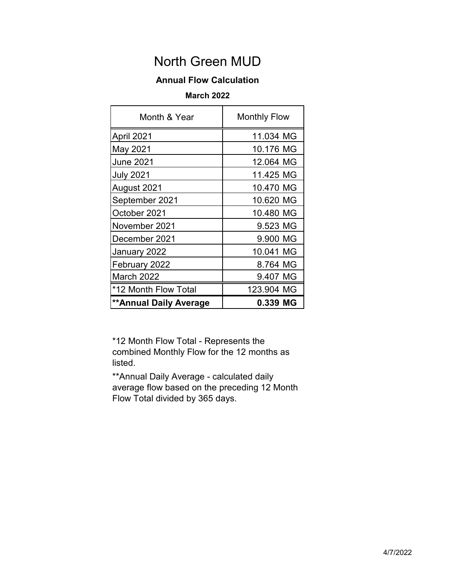# **Annual Flow Calculation**

# **March 2022**

| Month & Year                  | <b>Monthly Flow</b> |
|-------------------------------|---------------------|
| April 2021                    | 11.034 MG           |
| May 2021                      | 10.176 MG           |
| <b>June 2021</b>              | 12.064 MG           |
| <b>July 2021</b>              | 11.425 MG           |
| August 2021                   | 10.470 MG           |
| September 2021                | 10.620 MG           |
| October 2021                  | 10.480 MG           |
| November 2021                 | 9.523 MG            |
| December 2021                 | 9.900 MG            |
| January 2022                  | 10.041 MG           |
| February 2022                 | 8.764 MG            |
| March 2022                    | 9.407 MG            |
| *12 Month Flow Total          | 123.904 MG          |
| <b>**Annual Daily Average</b> | 0.339 MG            |

\*12 Month Flow Total - Represents the combined Monthly Flow for the 12 months as listed.

\*\*Annual Daily Average - calculated daily average flow based on the preceding 12 Month Flow Total divided by 365 days.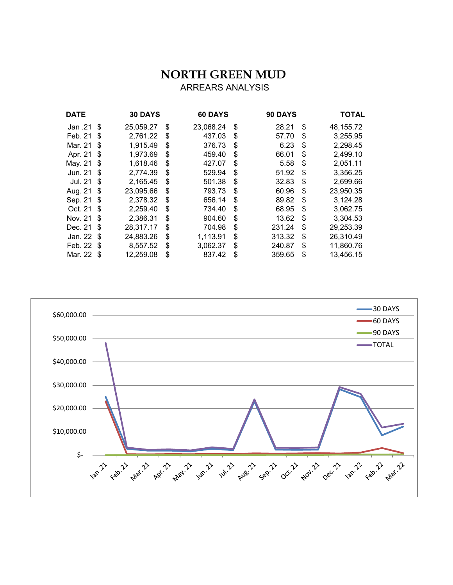# **NORTH GREEN MUD**  ARREARS ANALYSIS

| <b>DATE</b> |      | <b>30 DAYS</b> | 60 DAYS         | 90 DAYS      |    | <b>TOTAL</b> |
|-------------|------|----------------|-----------------|--------------|----|--------------|
| Jan .21 \$  |      | 25,059.27      | \$<br>23,068.24 | \$<br>28.21  | \$ | 48,155.72    |
| Feb. 21     | - \$ | 2,761.22       | \$<br>437.03    | \$<br>57.70  | S  | 3,255.95     |
| Mar. 21     | \$   | 1,915.49       | \$<br>376.73    | \$<br>6.23   | \$ | 2,298.45     |
| Apr. 21     | \$   | 1,973.69       | \$<br>459.40    | \$<br>66.01  | \$ | 2,499.10     |
| May. 21     | \$   | 1,618.46       | \$<br>427.07    | \$<br>5.58   | \$ | 2,051.11     |
| Jun. 21     | \$   | 2,774.39       | \$<br>529.94    | \$<br>51.92  | \$ | 3,356.25     |
| Jul. 21     | \$   | 2,165.45       | \$<br>501.38    | \$<br>32.83  | \$ | 2,699.66     |
| Aug. 21     | \$   | 23,095.66      | \$<br>793.73    | \$<br>60.96  | \$ | 23,950.35    |
| Sep. 21     | - \$ | 2,378.32       | \$<br>656.14    | \$<br>89.82  | \$ | 3,124.28     |
| Oct. 21     | \$   | 2,259.40       | \$<br>734.40    | \$<br>68.95  | \$ | 3,062.75     |
| Nov. 21     | \$   | 2,386.31       | \$<br>904.60    | \$<br>13.62  | \$ | 3,304.53     |
| Dec. 21     | \$   | 28,317.17      | \$<br>704.98    | \$<br>231.24 | \$ | 29,253.39    |
| Jan. 22     | - \$ | 24,883.26      | \$<br>1,113.91  | \$<br>313.32 | \$ | 26,310.49    |
| Feb. 22 \$  |      | 8,557.52       | \$<br>3,062.37  | \$<br>240.87 | \$ | 11,860.76    |
| Mar. 22 \$  |      | 12,259.08      | \$<br>837.42    | \$<br>359.65 | \$ | 13,456.15    |
|             |      |                |                 |              |    |              |

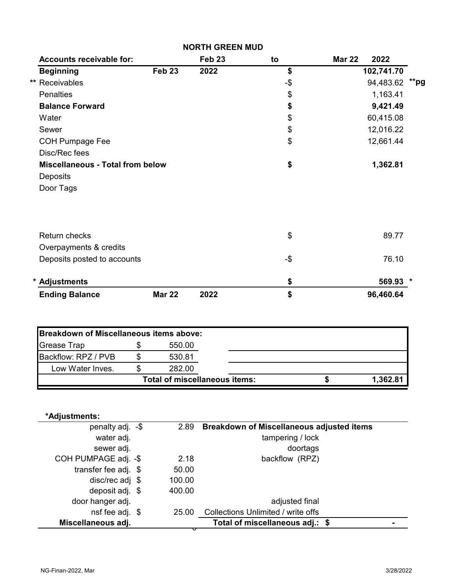|                                         |                                      | <b>NORTH GREEN MUD</b> |                                                  |               |            |      |
|-----------------------------------------|--------------------------------------|------------------------|--------------------------------------------------|---------------|------------|------|
| <b>Accounts receivable for:</b>         |                                      | Feb <sub>23</sub>      | to                                               | <b>Mar 22</b> | 2022       |      |
| <b>Beginning</b>                        | Feb <sub>23</sub>                    | 2022                   | \$                                               |               | 102,741.70 |      |
| ** Receivables                          |                                      |                        | -\$                                              |               | 94,483.62  | **pg |
| <b>Penalties</b>                        |                                      |                        | \$                                               |               | 1,163.41   |      |
| <b>Balance Forward</b>                  |                                      |                        | \$                                               |               | 9,421.49   |      |
| Water                                   |                                      |                        | \$                                               |               | 60,415.08  |      |
| Sewer                                   |                                      |                        | \$                                               |               | 12,016.22  |      |
| <b>COH Pumpage Fee</b>                  |                                      |                        | \$                                               |               | 12,661.44  |      |
| Disc/Rec fees                           |                                      |                        |                                                  |               |            |      |
| <b>Miscellaneous - Total from below</b> |                                      |                        | \$                                               |               | 1,362.81   |      |
| Deposits                                |                                      |                        |                                                  |               |            |      |
| Door Tags                               |                                      |                        |                                                  |               |            |      |
| <b>Return checks</b>                    |                                      |                        | \$                                               |               | 89.77      |      |
| Overpayments & credits                  |                                      |                        |                                                  |               |            |      |
| Deposits posted to accounts             |                                      |                        | -\$                                              |               | 76.10      |      |
| * Adjustments                           |                                      |                        | \$                                               |               | 569.93 *   |      |
| <b>Ending Balance</b>                   | <b>Mar 22</b>                        | 2022                   | \$                                               |               | 96,460.64  |      |
|                                         |                                      |                        |                                                  |               |            |      |
| Breakdown of Miscellaneous items above: |                                      |                        |                                                  |               |            |      |
| <b>Grease Trap</b>                      | \$<br>550.00                         |                        |                                                  |               |            |      |
| Backflow: RPZ / PVB                     | \$<br>530.81                         |                        |                                                  |               |            |      |
| Low Water Inves.                        | \$<br>282.00                         |                        |                                                  |               |            |      |
|                                         | <b>Total of miscellaneous items:</b> |                        |                                                  | \$            | 1,362.81   |      |
| *Adjustments:                           |                                      |                        |                                                  |               |            |      |
| penalty adj. -\$                        | 2.89                                 |                        | <b>Breakdown of Miscellaneous adjusted items</b> |               |            |      |
| water adj.                              |                                      |                        | tampering / lock                                 |               |            |      |
| sewer adj.                              |                                      |                        | doortags                                         |               |            |      |
| COH PUMPAGE adj. -\$                    | 2.18                                 |                        | backflow (RPZ)                                   |               |            |      |
| transfer fee adj. \$                    | 50.00                                |                        |                                                  |               |            |      |
| disc/rec adj \$                         | 100.00                               |                        |                                                  |               |            |      |
| deposit adj. \$                         | 400.00                               |                        |                                                  |               |            |      |
| door hanger adj.                        |                                      |                        | adjusted final                                   |               |            |      |
| nsf fee adj. \$                         | 25.00                                |                        | Collections Unlimited / write offs               |               |            |      |

**Miscellaneous adj.** 

**\$ - Total of miscellaneous adj.:**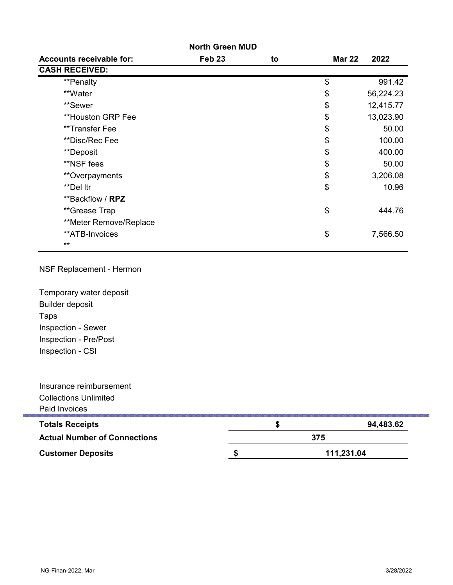|                                 | <b>North Green MUD</b> |    |               |           |
|---------------------------------|------------------------|----|---------------|-----------|
| <b>Accounts receivable for:</b> | Feb <sub>23</sub>      | to | <b>Mar 22</b> | 2022      |
| <b>CASH RECEIVED:</b>           |                        |    |               |           |
| **Penalty                       |                        |    | \$            | 991.42    |
| **Water                         |                        |    | \$            | 56,224.23 |
| **Sewer                         |                        |    | \$            | 12,415.77 |
| **Houston GRP Fee               |                        |    | \$            | 13,023.90 |
| **Transfer Fee                  |                        |    | \$            | 50.00     |
| **Disc/Rec Fee                  |                        |    | \$            | 100.00    |
| **Deposit                       |                        |    | \$            | 400.00    |
| **NSF fees                      |                        |    | \$            | 50.00     |
| **Overpayments                  |                        |    | \$            | 3,206.08  |
| **Del Itr                       |                        |    | \$            | 10.96     |
| **Backflow / RPZ                |                        |    |               |           |
| **Grease Trap                   |                        |    | \$            | 444.76    |
| **Meter Remove/Replace          |                        |    |               |           |
| **ATB-Invoices                  |                        |    | \$            | 7,566.50  |
| $***$                           |                        |    |               |           |

## NSF Replacement - Hermon

Temporary water deposit Taps Builder deposit Inspection - Sewer Inspection - CSI Inspection - Pre/Post

| Insurance reimbursement             |     |            |
|-------------------------------------|-----|------------|
| <b>Collections Unlimited</b>        |     |            |
| Paid Invoices                       |     |            |
| <b>Totals Receipts</b>              |     | 94,483.62  |
| <b>Actual Number of Connections</b> | 375 |            |
| <b>Customer Deposits</b>            |     | 111,231.04 |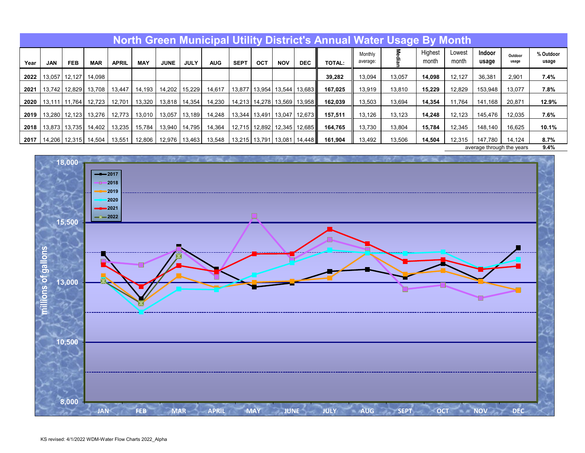|      |        |                 |               |              |            |             |             |            |             |               |            |                                   | North Green Municipal Utility District's Annual Water Usage By Month |                     |        |                  |                 |                           |                  |                    |
|------|--------|-----------------|---------------|--------------|------------|-------------|-------------|------------|-------------|---------------|------------|-----------------------------------|----------------------------------------------------------------------|---------------------|--------|------------------|-----------------|---------------------------|------------------|--------------------|
| Year | JAN    | <b>FEB</b>      | <b>MAR</b>    | <b>APRIL</b> | <b>MAY</b> | <b>JUNE</b> | <b>JULY</b> | <b>AUG</b> | <b>SEPT</b> | OCT           | <b>NOV</b> | <b>DEC</b>                        | <b>TOTAL:</b>                                                        | Monthly<br>average: | 을      | Highest<br>month | Lowest<br>month | Indoor<br>usage           | Outdoor<br>usage | % Outdoor<br>usage |
| 2022 | 13,057 | 12.127          | 14.098        |              |            |             |             |            |             |               |            |                                   | 39,282                                                               | 13,094              | 13,057 | 14,098           | 12,127          | 36,381                    | 2,901            | 7.4%               |
| 2021 | 13.742 | 12,829          | 13.708        | 13.447       | 14,193     | 14,202      | 15,229      | 14,617     | 13,877      |               |            | 13,954   13,544   13,683          | 167,025                                                              | 13.919              | 13.810 | 15.229           | 12,829          | 153,948                   | 13,077           | 7.8%               |
| 2020 |        | 13.111   11.764 | 12.723        | 12.701       | 13,320     | 13,818      | 14,354      | 14,230     |             |               |            | 14,213   14,278   13,569   13,958 | 162.039                                                              | 13,503              | 13.694 | 14,354           | 11,764          | 141.168                   | 20,871           | 12.9%              |
| 2019 | 13,280 |                 | 12,123 13,276 | 12.773       | 13,010     | 13,057      | 13,189      | 14,248     |             | 13,344 13,491 | 13,047     | 12,673                            | 157,511                                                              | 13,126              | 13,123 | 14,248           | 12,123          | 145,476                   | 12,035           | 7.6%               |
| 2018 | 13,873 | 13,735          | 14,402        | 13,235       | 15.784     | 13,940      | 14,795      | 14,364     |             |               |            | 12,715   12,892   12,345   12,685 | 164,765                                                              | 13,730              | 13,804 | 15,784           | 12,345          | 148,140                   | 16,625           | 10.1%              |
| 2017 | 14,206 |                 | 12,315 14,504 | 13,551       | 12,806     | 12,976      | 13,463      | 13,548     |             |               |            | 13,215   13,791   13,081   14,448 | 161,904                                                              | 13,492              | 13,506 | 14,504           | 12,315          | 147,780                   | 14.124           | 8.7%               |
|      |        |                 |               |              |            |             |             |            |             |               |            |                                   |                                                                      |                     |        |                  |                 | average through the years |                  | 9.4%               |

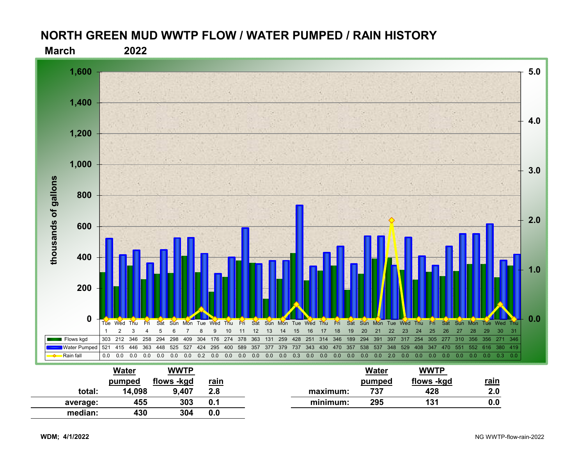# **NORTH GREEN MUD WWTP FLOW / WATER PUMPED / RAIN HISTORY**



|          | Water  | <b>WWTP</b> |             |          | Water  | WWTP       |             |
|----------|--------|-------------|-------------|----------|--------|------------|-------------|
|          | pumped | flows -kgd  | <u>rain</u> |          | pumped | flows -kgd | <u>rain</u> |
| total:   | 14,098 | 9,407       | 2.8         | maximum: | 737    | 428        | 2.0         |
| average: | 455    | 303         | 0.1         | minimum: | 295    | 131        | 0.0         |
| median:  | 430    | 304         | 0.0         |          |        |            |             |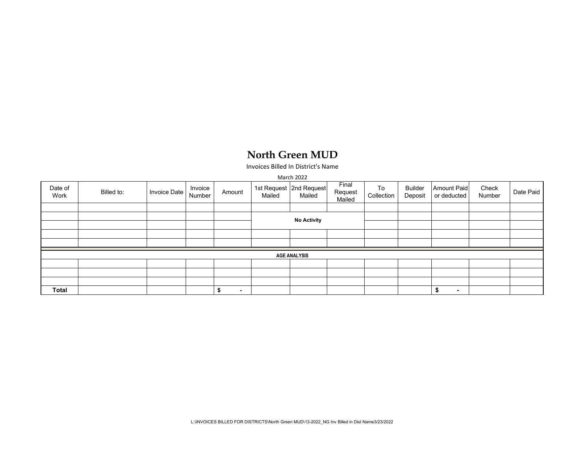Invoices Billed In District's Name

|                 |            |              |                   |                |        | March 2022                          |                            |                  |                           |                                   |                 |           |
|-----------------|------------|--------------|-------------------|----------------|--------|-------------------------------------|----------------------------|------------------|---------------------------|-----------------------------------|-----------------|-----------|
| Date of<br>Work | Billed to: | Invoice Date | Invoice<br>Number | Amount         | Mailed | 1st Request   2nd Request<br>Mailed | Final<br>Request<br>Mailed | To<br>Collection | <b>Builder</b><br>Deposit | <b>Amount Paid</b><br>or deducted | Check<br>Number | Date Paid |
|                 |            |              |                   |                |        |                                     |                            |                  |                           |                                   |                 |           |
|                 |            |              |                   |                |        |                                     |                            |                  |                           |                                   |                 |           |
|                 |            |              |                   |                |        | <b>No Activity</b>                  |                            |                  |                           |                                   |                 |           |
|                 |            |              |                   |                |        |                                     |                            |                  |                           |                                   |                 |           |
|                 |            |              |                   |                |        |                                     |                            |                  |                           |                                   |                 |           |
|                 |            |              |                   |                |        | <b>AGE ANALYSIS</b>                 |                            |                  |                           |                                   |                 |           |
|                 |            |              |                   |                |        |                                     |                            |                  |                           |                                   |                 |           |
|                 |            |              |                   |                |        |                                     |                            |                  |                           |                                   |                 |           |
|                 |            |              |                   |                |        |                                     |                            |                  |                           |                                   |                 |           |
| <b>Total</b>    |            |              |                   | $\blacksquare$ |        |                                     |                            |                  |                           | $\sim$<br>а                       |                 |           |